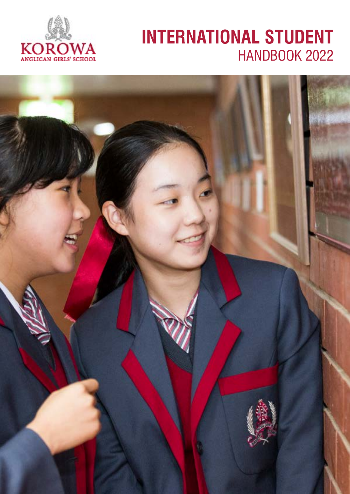

# **INTERNATIONAL STUDENT** HANDBOOK 2022

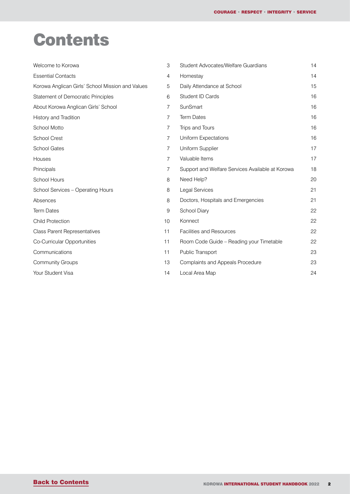# <span id="page-1-0"></span>**Contents**

| Welcome to Korowa                                | 3  | Student Advocates/Welfare Guardians              | 14 |
|--------------------------------------------------|----|--------------------------------------------------|----|
| <b>Essential Contacts</b>                        | 4  | Homestay                                         | 14 |
| Korowa Anglican Girls' School Mission and Values | 5  | Daily Attendance at School                       | 15 |
| Statement of Democratic Principles               | 6  | Student ID Cards                                 | 16 |
| About Korowa Anglican Girls' School              | 7  | SunSmart                                         | 16 |
| History and Tradition                            | 7  | <b>Term Dates</b>                                | 16 |
| School Motto                                     | 7  | Trips and Tours                                  | 16 |
| <b>School Crest</b>                              | 7  | <b>Uniform Expectations</b>                      | 16 |
| <b>School Gates</b>                              | 7  | Uniform Supplier                                 | 17 |
| Houses                                           | 7  | Valuable Items                                   | 17 |
| Principals                                       | 7  | Support and Welfare Services Available at Korowa | 18 |
| School Hours                                     | 8  | Need Help?                                       | 20 |
| School Services - Operating Hours                | 8  | Legal Services                                   | 21 |
| Absences                                         | 8  | Doctors, Hospitals and Emergencies               | 21 |
| <b>Term Dates</b>                                | 9  | School Diary                                     | 22 |
| <b>Child Protection</b>                          | 10 | Konnect                                          | 22 |
| <b>Class Parent Representatives</b>              | 11 | <b>Facilities and Resources</b>                  | 22 |
| Co-Curricular Opportunities                      | 11 | Room Code Guide - Reading your Timetable         | 22 |
| Communications                                   | 11 | Public Transport                                 | 23 |
| <b>Community Groups</b>                          | 13 | <b>Complaints and Appeals Procedure</b>          | 23 |
| Your Student Visa                                | 14 | Local Area Map                                   | 24 |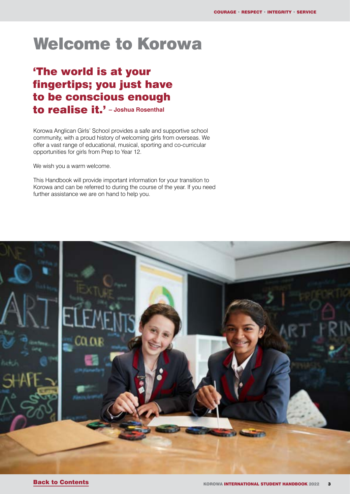# <span id="page-2-0"></span>Welcome to Korowa

## 'The world is at your fingertips; you just have to be conscious enough to realise it.' **– Joshua Rosenthal**

Korowa Anglican Girls' School provides a safe and supportive school community, with a proud history of welcoming girls from overseas. We offer a vast range of educational, musical, sporting and co-curricular opportunities for girls from Prep to Year 12.

We wish you a warm welcome.

This Handbook will provide important information for your transition to Korowa and can be referred to during the course of the year. If you need further assistance we are on hand to help you.

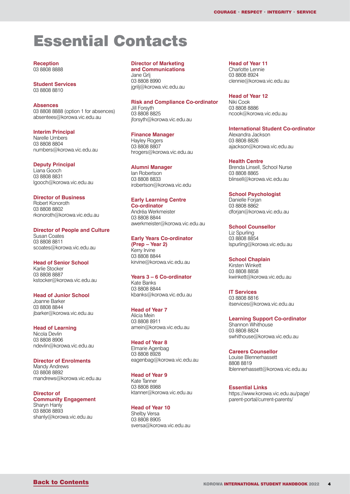# <span id="page-3-0"></span>Essential Contacts

**Reception** 03 8808 8888

**Student Services** 03 8808 8810

#### **Absences**

03 8808 8888 (option 1 for absences) absentees@korowa.vic.edu.au

**Interim Principal**

Narelle Umbers 03 8808 8804 numbers@korowa.vic.edu.au

**Deputy Principal** Liana Gooch 03 8808 8831

lgooch@korowa.vic.edu.au

#### **Director of Business**

Robert Konoroth 03 8808 8802 rkonoroth@korowa.vic.edu.au

#### **Director of People and Culture**

Susan Coates 03 8808 8811 scoates@korowa.vic.edu.au

**Head of Senior School** Karlie Stocker

03 8808 8887 kstocker@korowa.vic.edu.au

**Head of Junior School** 

Joanne Barker 03 8808 8844 jbarker@korowa.vic.edu.au

**Head of Learning** Nicola Devlin 03 8808 8906 ndevlin@korowa.vic.edu.au

**Director of Enrolments** Mandy Andrews 03 8808 8892 mandrews@korowa.vic.edu.au

**Director of Community Engagement** Sharyn Hanly 03 8808 8893

shanly@korowa.vic.edu.au

**Director of Marketing and Communications**

Jane Grlj 03 8808 8990 jgrilj@korowa.vic.edu.au

**Risk and Compliance Co-ordinator** 

Jill Forsyth 03 8808 8825 jforsyth@korowa.vic.edu.au

**Finance Manager**

Hayley Rogers 03 8808 8807 hrogers@korowa.vic.edu.au

#### **Alumni Manager**

Ian Robertson 03 8808 8833 irobertson@korowa.vic.edu

#### **Early Learning Centre**

**Co-ordinator** Andréa Werkmeister 03 8808 8844 awerkmeister@korowa.vic.edu.au

#### **Early Years Co-ordinator (Prep – Year 2)**

Kerry Irvine 03 8808 8844 kirvine@korowa.vic.edu.au

#### **Years 3 – 6 Co-ordinator**

Kate Banks 03 8808 8844 kbanks@korowa.vic.edu.au

#### **Head of Year 7**

Alicia Mein 03 8808 8911 amein@korowa.vic.edu.au

#### **Head of Year 8**

Elmarie Agenbag 03 8808 8928 eagenbag@korowa.vic.edu.au

#### **Head of Year 9**

Kate Tanner 03 8808 8988 ktanner@korowa.vic.edu.au

#### **Head of Year 10**

Shelby Versa 03 8808 8905 sversa@korowa.vic.edu.au **Head of Year 11**

Charlotte Lennie 03 8808 8924 clennie@korowa.vic.edu.au

**Head of Year 12**

Niki Cook 03 8808 8886 ncook@korowa.vic.edu.au

#### **International Student Co-ordinator**

Alexandra Jackson 03 8808 8826 ajackson@korowa.vic.edu.au

#### **Health Centre**

Brenda Linsell, School Nurse 03 8808 8865 blinsell@korowa.vic.edu.au

#### **School Psychologist**

Danielle Forjan 03 8808 8862 dforjan@korowa.vic.edu.au

**School Counsellor** Liz Spurling 03 8808 8854 lspurling@korowa.vic.edu.au

**School Chaplain**

Kirsten Winkett 03 8808 8858 kwinkett@korowa.vic.edu.au

**IT Services** 03 8808 8816 itservices@korowa.vic.edu.au

**Learning Support Co-ordinator** Shannon Whithouse 03 8808 8824 swhithouse@korowa.vic.edu.au

#### **Careers Counsellor**

Louise Blennerhassett 8808 8819 lblennerhassett@korowa.vic.edu.au

**Essential Links** https://www.korowa.vic.edu.au/page/ parent-portal/current-parents/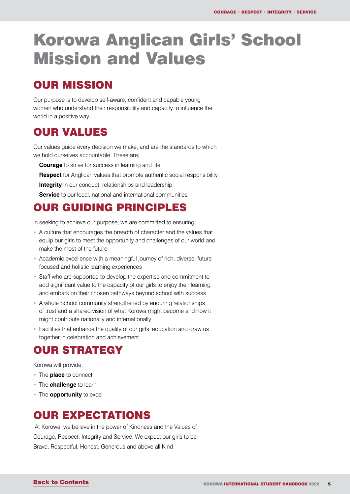# <span id="page-4-0"></span>Korowa Anglican Girls' School Mission and Values

# OUR MISSION

Our purpose is to develop self-aware, confident and capable young women who understand their responsibility and capacity to influence the world in a positive way.

# OUR VALUES

Our values guide every decision we make, and are the standards to which we hold ourselves accountable. These are;

**Courage** to strive for success in learning and life

**Respect** for Anglican values that promote authentic social responsibility

**Integrity** in our conduct, relationships and leadership

**Service** to our local, national and international communities

## OUR GUIDING PRINCIPLES

In seeking to achieve our purpose, we are committed to ensuring:

- A culture that encourages the breadth of character and the values that equip our girls to meet the opportunity and challenges of our world and make the most of the future
- Academic excellence with a meaningful journey of rich, diverse, future focused and holistic learning experiences
- Staff who are supported to develop the expertise and commitment to add significant value to the capacity of our girls to enjoy their learning and embark on their chosen pathways beyond school with success
- A whole School community strengthened by enduring relationships of trust and a shared vision of what Korowa might become and how it might contribute nationally and internationally
- Facilities that enhance the quality of our girls' education and draw us together in celebration and achievement

# OUR STRATEGY

Korowa will provide:

- The **place** to connect
- The **challenge** to learn
- The **opportunity** to excel

### OUR EXPECTATIONS

 At Korowa, we believe in the power of Kindness and the Values of Courage, Respect, Integrity and Service. We expect our girls to be Brave, Respectful, Honest, Generous and above all Kind.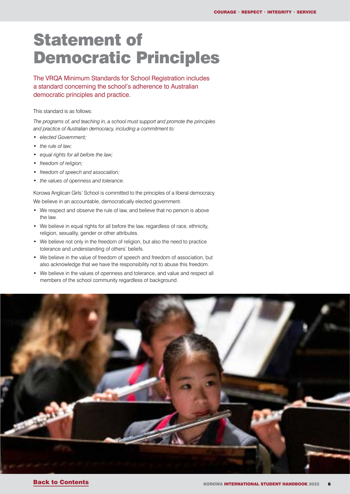# <span id="page-5-0"></span>Statement of Democratic Principles

The VRQA Minimum Standards for School Registration includes a standard concerning the school's adherence to Australian democratic principles and practice.

This standard is as follows:

*The programs of, and teaching in, a school must support and promote the principles and practice of Australian democracy, including a commitment to:*

- *• elected Government;*
- *• the rule of law;*
- *• equal rights for all before the law;*
- *• freedom of religion;*
- *• freedom of speech and association;*
- *• the values of openness and tolerance.*

Korowa Anglican Girls' School is committed to the principles of a liberal democracy We believe in an accountable, democratically elected government.

- We respect and observe the rule of law, and believe that no person is above the law.
- We believe in equal rights for all before the law, regardless of race, ethnicity, religion, sexuality, gender or other attributes.
- We believe not only in the freedom of religion, but also the need to practice tolerance and understanding of others' beliefs.
- We believe in the value of freedom of speech and freedom of association, but also acknowledge that we have the responsibility not to abuse this freedom.
- We believe in the values of openness and tolerance, and value and respect all members of the school community regardless of background.

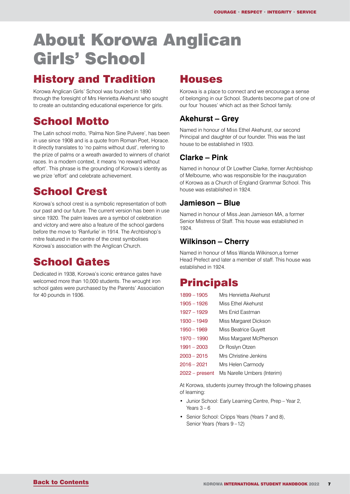# <span id="page-6-0"></span>About Korowa Anglican Girls' School

## History and Tradition

Korowa Anglican Girls' School was founded in 1890 through the foresight of Mrs Henrietta Akehurst who sought to create an outstanding educational experience for girls.

## School Motto

The Latin school motto, 'Palma Non Sine Pulvere', has been in use since 1908 and is a quote from Roman Poet, Horace. It directly translates to 'no palms without dust', referring to the prize of palms or a wreath awarded to winners of chariot races. In a modern context, it means 'no reward without effort'. This phrase is the grounding of Korowa's identity as we prize 'effort' and celebrate achievement.

# School Crest

Korowa's school crest is a symbolic representation of both our past and our future. The current version has been in use since 1920. The palm leaves are a symbol of celebration and victory and were also a feature of the school gardens before the move to 'Ranfurlie' in 1914. The Archbishop's mitre featured in the centre of the crest symbolises Korowa's association with the Anglican Church.

# School Gates

Dedicated in 1938, Korowa's iconic entrance gates have welcomed more than 10,000 students. The wrought iron school gates were purchased by the Parents' Association for 40 pounds in 1936.

### **Houses**

Korowa is a place to connect and we encourage a sense of belonging in our School. Students become part of one of our four 'houses' which act as their School family.

### **Akehurst – Grey**

Named in honour of Miss Ethel Akehurst, our second Principal and daughter of our founder. This was the last house to be established in 1933.

### **Clarke – Pink**

Named in honour of Dr Lowther Clarke, former Archbishop of Melbourne, who was responsible for the inauguration of Korowa as a Church of England Grammar School. This house was established in 1924.

### **Jamieson – Blue**

Named in honour of Miss Jean Jamieson MA, a former Senior Mistress of Staff. This house was established in  $1024$ 

### **Wilkinson – Cherry**

Named in honour of Miss Wanda Wilkinson,a former Head Prefect and later a member of staff. This house was established in 1924.

### **Principals**

| $1899 - 1905$  | Mrs Henrietta Akehurst      |
|----------------|-----------------------------|
| $1905 - 1926$  | Miss Fthel Akehurst         |
| $1927 - 1929$  | Mrs Enid Eastman            |
| $1930 - 1949$  | Miss Margaret Dickson       |
| $1950 - 1969$  | Miss Beatrice Guyett        |
| $1970 - 1990$  | Miss Margaret McPherson     |
| $1991 - 2003$  | Dr Roslyn Otzen             |
| $2003 - 2015$  | Mrs Christine Jenkins       |
| 2016 - 2021    | Mrs Helen Carmody           |
| 2022 – present | Ms Narelle Umbers (Interim) |
|                |                             |

At Korowa, students journey through the following phases of learning:

- Junior School: Early Learning Centre, Prep Year 2, Years  $3-6$
- Senior School: Cripps Years (Years 7 and 8), Senior Years (Years 9 –12)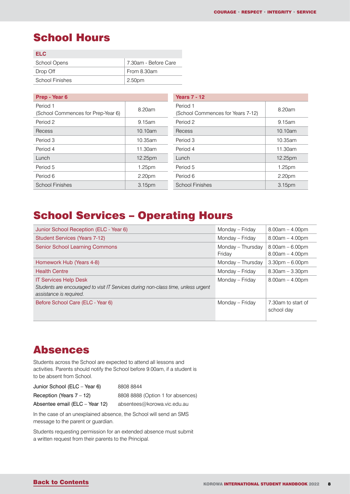## <span id="page-7-0"></span>School Hours

| FI C            |                      |
|-----------------|----------------------|
| School Opens    | 7.30am - Before Care |
| Drop Off        | From 8.30am          |
| School Finishes | 2.50pm               |

| Prep - Year 6                                  |         | <b>Years 7 - 12</b>                           |         |
|------------------------------------------------|---------|-----------------------------------------------|---------|
| Period 1<br>(School Commences for Prep-Year 6) | 8.20am  | Period 1<br>(School Commences for Years 7-12) | 8.20am  |
| Period 2                                       | 9.15am  | Period 2                                      | 9.15am  |
| Recess                                         | 10.10am | Recess                                        | 10.10am |
| Period 3                                       | 10.35am | Period 3                                      | 10.35am |
| Period 4                                       | 11.30am | Period 4                                      | 11.30am |
| Lunch                                          | 12.25pm | Lunch                                         | 12.25pm |
| Period 5                                       | 1.25pm  | Period 5                                      | 1.25pm  |
| Period 6                                       | 2.20pm  | Period 6                                      | 2.20pm  |
| <b>School Finishes</b>                         | 3.15pm  | <b>School Finishes</b>                        | 3.15pm  |

## School Services – Operating Hours

| Junior School Reception (ELC - Year 6)                                                                                                       | Monday - Friday             | $8.00am - 4.00pm$                      |
|----------------------------------------------------------------------------------------------------------------------------------------------|-----------------------------|----------------------------------------|
| <b>Student Services (Years 7-12)</b>                                                                                                         | Monday - Friday             | $8.00am - 4.00pm$                      |
| <b>Senior School Learning Commons</b>                                                                                                        | Monday - Thursday<br>Friday | $8.00am - 6.00pm$<br>$8.00am - 4.00pm$ |
| Homework Hub (Years 4-8)                                                                                                                     | Monday – Thursday           | $3.30$ pm $- 6.00$ pm                  |
| <b>Health Centre</b>                                                                                                                         | Monday – Friday             | $8.30am - 3.30pm$                      |
| <b>IT Services Help Desk</b><br>Students are encouraged to visit IT Services during non-class time, unless urgent<br>assistance is required. | Monday - Friday             | $8.00am - 4.00pm$                      |
| Before School Care (ELC - Year 6)                                                                                                            | Monday - Friday             | 7.30am to start of<br>school day       |

### Absences

Students across the School are expected to attend all lessons and activities. Parents should notify the School before 9.00am, if a student is to be absent from School.

| Junior School (ELC - Year 6)   | 8808 8844                         |
|--------------------------------|-----------------------------------|
| Reception (Years $7 - 12$ )    | 8808 8888 (Option 1 for absences) |
| Absentee email (ELC – Year 12) | absentees@korowa.vic.edu.au       |

In the case of an unexplained absence, the School will send an SMS message to the parent or guardian.

Students requesting permission for an extended absence must submit a written request from their parents to the Principal.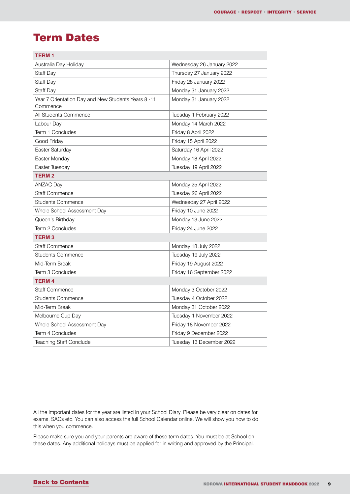# <span id="page-8-0"></span>Term Dates

| <b>TERM1</b>                                                    |                           |
|-----------------------------------------------------------------|---------------------------|
| Australia Day Holiday                                           | Wednesday 26 January 2022 |
| Staff Day                                                       | Thursday 27 January 2022  |
| Staff Day                                                       | Friday 28 January 2022    |
| Staff Day                                                       | Monday 31 January 2022    |
| Year 7 Orientation Day and New Students Years 8 -11<br>Commence | Monday 31 January 2022    |
| All Students Commence                                           | Tuesday 1 February 2022   |
| Labour Day                                                      | Monday 14 March 2022      |
| Term 1 Concludes                                                | Friday 8 April 2022       |
| Good Friday                                                     | Friday 15 April 2022      |
| Easter Saturday                                                 | Saturday 16 April 2022    |
| Easter Monday                                                   | Monday 18 April 2022      |
| Easter Tuesday                                                  | Tuesday 19 April 2022     |
| <b>TERM2</b>                                                    |                           |
| ANZAC Day                                                       | Monday 25 April 2022      |
| <b>Staff Commence</b>                                           | Tuesday 26 April 2022     |
| <b>Students Commence</b>                                        | Wednesday 27 April 2022   |
| Whole School Assessment Day                                     | Friday 10 June 2022       |
| Queen's Birthday                                                | Monday 13 June 2022       |
| Term 2 Concludes                                                | Friday 24 June 2022       |
| <b>TERM3</b>                                                    |                           |
| <b>Staff Commence</b>                                           | Monday 18 July 2022       |
| <b>Students Commence</b>                                        | Tuesday 19 July 2022      |
| Mid-Term Break                                                  | Friday 19 August 2022     |
| Term 3 Concludes                                                | Friday 16 September 2022  |
| <b>TERM4</b>                                                    |                           |
| <b>Staff Commence</b>                                           | Monday 3 October 2022     |
| <b>Students Commence</b>                                        | Tuesday 4 October 2022    |
| Mid-Term Break                                                  | Monday 31 October 2022    |
| Melbourne Cup Day                                               | Tuesday 1 November 2022   |
| Whole School Assessment Day                                     | Friday 18 November 2022   |
| Term 4 Concludes                                                | Friday 9 December 2022    |
| <b>Teaching Staff Conclude</b>                                  | Tuesday 13 December 2022  |

All the important dates for the year are listed in your School Diary. Please be very clear on dates for exams, SACs etc. You can also access the full School Calendar online. We will show you how to do this when you commence.

Please make sure you and your parents are aware of these term dates. You must be at School on these dates. Any additional holidays must be applied for in writing and approved by the Principal.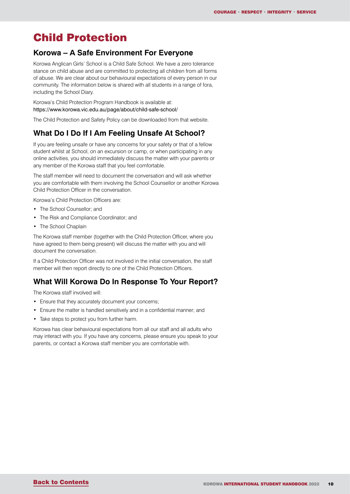### <span id="page-9-0"></span>Child Protection

#### **Korowa – A Safe Environment For Everyone**

Korowa Anglican Girls' School is a Child Safe School. We have a zero tolerance stance on child abuse and are committed to protecting all children from all forms of abuse. We are clear about our behavioural expectations of every person in our community. The information below is shared with all students in a range of fora, including the School Diary.

Korowa's Child Protection Program Handbook is available at: https://www.korowa.vic.edu.au/page/about/child-safe-school/

The Child Protection and Safety Policy can be downloaded from that website.

#### **What Do I Do If I Am Feeling Unsafe At School?**

If you are feeling unsafe or have any concerns for your safety or that of a fellow student whilst at School, on an excursion or camp, or when participating in any online activities, you should immediately discuss the matter with your parents or any member of the Korowa staff that you feel comfortable.

The staff member will need to document the conversation and will ask whether you are comfortable with them involving the School Counsellor or another Korowa Child Protection Officer in the conversation.

Korowa's Child Protection Officers are:

- The School Counsellor; and
- The Risk and Compliance Coordinator; and
- The School Chaplain

The Korowa staff member (together with the Child Protection Officer, where you have agreed to them being present) will discuss the matter with you and will document the conversation.

If a Child Protection Officer was not involved in the initial conversation, the staff member will then report directly to one of the Child Protection Officers.

#### **What Will Korowa Do In Response To Your Report?**

The Korowa staff involved will:

- Ensure that they accurately document your concerns;
- Ensure the matter is handled sensitively and in a confidential manner; and
- Take steps to protect you from further harm.

Korowa has clear behavioural expectations from all our staff and all adults who may interact with you. If you have any concerns, please ensure you speak to your parents, or contact a Korowa staff member you are comfortable with.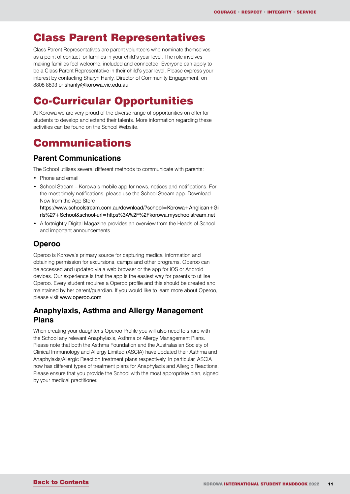### <span id="page-10-0"></span>Class Parent Representatives

Class Parent Representatives are parent volunteers who nominate themselves as a point of contact for families in your child's year level. The role involves making families feel welcome, included and connected. Everyone can apply to be a Class Parent Representative in their child's year level. Please express your interest by contacting Sharyn Hanly, Director of Community Engagement, on 8808 8893 or shanly@korowa.vic.edu.au

# Co-Curricular Opportunities

At Korowa we are very proud of the diverse range of opportunities on offer for students to develop and extend their talents. More information regarding these activities can be found on the School Website.

### Communications

#### **Parent Communications**

The School utilises several different methods to communicate with parents:

- Phone and email
- School Stream Korowa's mobile app for news, notices and notifications. For the most timely notifications, please use the School Stream app. Download Now from the App Store

https://www.schoolstream.com.au/download/?school=Korowa+Anglican+Gi rls%27+School&school-url=https%3A%2F%2Fkorowa.myschoolstream.net

• A fortnightly Digital Magazine provides an overview from the Heads of School and important announcements

### **Operoo**

Operoo is Korowa's primary source for capturing medical information and obtaining permission for excursions, camps and other programs. Operoo can be accessed and updated via a web browser or the app for iOS or Android devices. Our experience is that the app is the easiest way for parents to utilise Operoo. Every student requires a Operoo profile and this should be created and maintained by her parent/guardian. If you would like to learn more about Operoo, please visit www.operoo.com

### **Anaphylaxis, Asthma and Allergy Management Plans**

When creating your daughter's Operoo Profile you will also need to share with the School any relevant Anaphylaxis, Asthma or Allergy Management Plans. Please note that both the Asthma Foundation and the Australasian Society of Clinical Immunology and Allergy Limited (ASCIA) have updated their Asthma and Anaphylaxis/Allergic Reaction treatment plans respectively. In particular, ASCIA now has different types of treatment plans for Anaphylaxis and Allergic Reactions. Please ensure that you provide the School with the most appropriate plan, signed by your medical practitioner.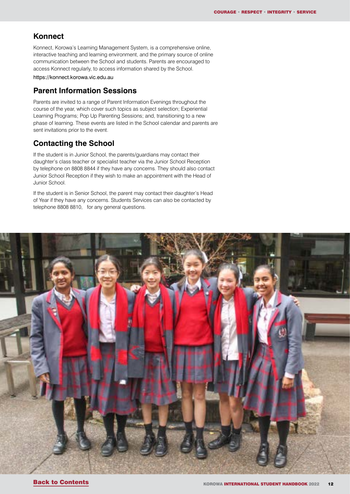#### **Konnect**

Konnect, Korowa's Learning Management System, is a comprehensive online, interactive teaching and learning environment, and the primary source of online communication between the School and students. Parents are encouraged to access Konnect regularly, to access information shared by the School.

https://konnect.korowa.vic.edu.au

#### **Parent Information Sessions**

Parents are invited to a range of Parent Information Evenings throughout the course of the year, which cover such topics as subject selection; Experiential Learning Programs; Pop Up Parenting Sessions; and, transitioning to a new phase of learning. These events are listed in the School calendar and parents are sent invitations prior to the event.

### **Contacting the School**

If the student is in Junior School, the parents/guardians may contact their daughter's class teacher or specialist teacher via the Junior School Reception by telephone on 8808 8844 if they have any concerns. They should also contact Junior School Reception if they wish to make an appointment with the Head of Junior School.

If the student is in Senior School, the parent may contact their daughter's Head of Year if they have any concerns. Students Services can also be contacted by telephone 8808 8810, for any general questions.

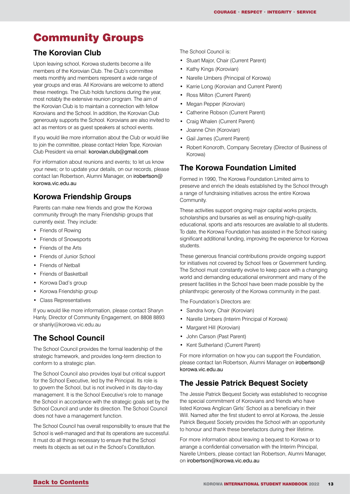# <span id="page-12-0"></span>Community Groups

### **The Korovian Club**

Upon leaving school, Korowa students become a life members of the Korovian Club. The Club's committee meets monthly and members represent a wide range of year groups and eras. All Korovians are welcome to attend these meetings. The Club holds functions during the year, most notably the extensive reunion program. The aim of the Korovian Club is to maintain a connection with fellow Korovians and the School. In addition, the Korovian Club generously supports the School. Korovians are also invited to act as mentors or as guest speakers at school events.

If you would like more information about the Club or would like to join the committee, please contact Helen Tope, Korovian Club President via email: korovian.club@gmail.com

For information about reunions and events; to let us know your news; or to update your details, on our records, please contact Ian Robertson, Alumni Manager, on irobertson@ korowa.vic.edu.au

### **Korowa Friendship Groups**

Parents can make new friends and grow the Korowa community through the many Friendship groups that currently exist. They include:

- Friends of Rowing
- Friends of Snowsports
- Friends of the Arts
- Friends of Junior School
- Friends of Netball
- Friends of Basketball
- Korowa Dad's group
- Korowa Friendship group
- Class Representatives

If you would like more information, please contact Sharyn Hanly, Director of Community Engagement, on 8808 8893 or shanly@korowa.vic.edu.au

#### **The School Council**

The School Council provides the formal leadership of the strategic framework, and provides long-term direction to conform to a strategic plan.

The School Council also provides loyal but critical support for the School Executive, led by the Principal. Its role is to govern the School, but is not involved in its day-to-day management. It is the School Executive's role to manage the School in accordance with the strategic goals set by the School Council and under its direction. The School Council does not have a management function.

The School Council has overall responsibility to ensure that the School is well-managed and that its operations are successful. It must do all things necessary to ensure that the School meets its objects as set out in the School's Constitution.

The School Council is:

- Stuart Major, Chair (Current Parent)
- Kathy Kings (Korovian)
- Narelle Umbers (Principal of Korowa)
- Karrie Long (Korovian and Current Parent)
- Ross Milton (Current Parent)
- Megan Pepper (Korovian)
- Catherine Robson (Current Parent)
- Craig Whalen (Current Parent)
- Joanne Chin (Korovian)
- Gail James (Current Parent)
- Robert Konoroth, Company Secretary (Director of Business of Korowa)

#### **The Korowa Foundation Limited**

Formed in 1990, The Korowa Foundation Limited aims to preserve and enrich the ideals established by the School through a range of fundraising initiatives across the entire Korowa Community.

These activities support ongoing major capital works projects, scholarships and bursaries as well as ensuring high-quality educational, sports and arts resources are available to all students. To date, the Korowa Foundation has assisted in the School raising significant additional funding, improving the experience for Korowa students.

These generous financial contributions provide ongoing support for initiatives not covered by School fees or Government funding. The School must constantly evolve to keep pace with a changing world and demanding educational environment and many of the present facilities in the School have been made possible by the philanthropic generosity of the Korowa community in the past.

The Foundation's Directors are:

- Sandra Ivory, Chair (Korovian)
- Narelle Umbers (Interim Principal of Korowa)
- Margaret Hill (Korovian)
- John Carson (Past Parent)
- Kent Sutherland (Current Parent)

For more information on how you can support the Foundation, please contact Ian Robertson, Alumni Manager on irobertson@ korowa.vic.edu.au

#### **The Jessie Patrick Bequest Society**

The Jessie Patrick Bequest Society was established to recognise the special commitment of Korovians and friends who have listed Korowa Anglican Girls' School as a beneficiary in their Will. Named after the first student to enrol at Korowa, the Jessie Patrick Bequest Society provides the School with an opportunity to honour and thank these benefactors during their lifetime.

For more information about leaving a bequest to Korowa or to arrange a confidential conversation with the Interim Principal, Narelle Umbers, please contact Ian Robertson, Alumni Manager, on irobertson@korowa.vic.edu.au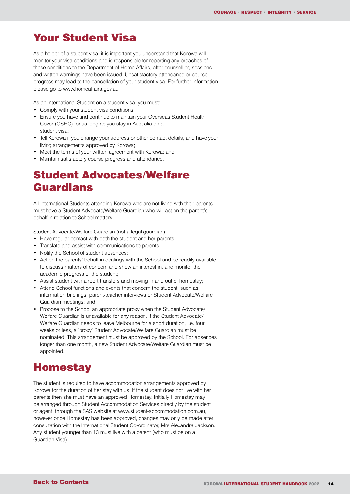### <span id="page-13-0"></span>Your Student Visa

As a holder of a student visa, it is important you understand that Korowa will monitor your visa conditions and is responsible for reporting any breaches of these conditions to the Department of Home Affairs, after counselling sessions and written warnings have been issued. Unsatisfactory attendance or course progress may lead to the cancellation of your student visa. For further information please go to www.homeaffairs.gov.au

As an International Student on a student visa, you must:

- Comply with your student visa conditions;
- Ensure you have and continue to maintain your Overseas Student Health Cover (OSHC) for as long as you stay in Australia on a student visa;
- Tell Korowa if you change your address or other contact details, and have your living arrangements approved by Korowa;
- Meet the terms of your written agreement with Korowa; and
- Maintain satisfactory course progress and attendance.

# Student Advocates/Welfare Guardians

All International Students attending Korowa who are not living with their parents must have a Student Advocate/Welfare Guardian who will act on the parent's behalf in relation to School matters.

Student Advocate/Welfare Guardian (not a legal guardian):

- Have regular contact with both the student and her parents;
- Translate and assist with communications to parents;
- Notify the School of student absences;
- Act on the parents' behalf in dealings with the School and be readily available to discuss matters of concern and show an interest in, and monitor the academic progress of the student;
- Assist student with airport transfers and moving in and out of homestay;
- Attend School functions and events that concern the student, such as information briefings, parent/teacher interviews or Student Advocate/Welfare Guardian meetings; and
- Propose to the School an appropriate proxy when the Student Advocate/ Welfare Guardian is unavailable for any reason. If the Student Advocate/ Welfare Guardian needs to leave Melbourne for a short duration, i.e. four weeks or less, a 'proxy' Student Advocate/Welfare Guardian must be nominated. This arrangement must be approved by the School. For absences longer than one month, a new Student Advocate/Welfare Guardian must be appointed.

### **Homestay**

The student is required to have accommodation arrangements approved by Korowa for the duration of her stay with us. If the student does not live with her parents then she must have an approved Homestay. Initially Homestay may be arranged through Student Accommodation Services directly by the student or agent, through the SAS website at www.student-accommodation.com.au, however once Homestay has been approved, changes may only be made after consultation with the International Student Co-ordinator, Mrs Alexandra Jackson. Any student younger than 13 must live with a parent (who must be on a Guardian Visa).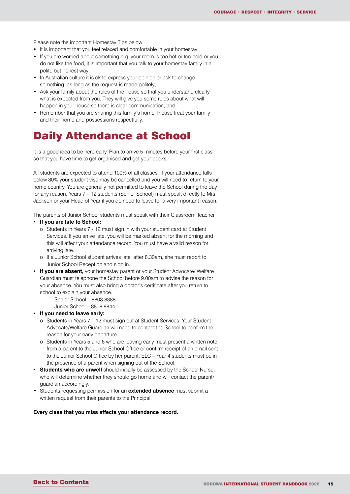<span id="page-14-0"></span>Please note the important Homestay Tips below:

- It is important that you feel relaxed and comfortable in your homestay;
- If you are worried about something e.g. your room is too hot or too cold or you do not like the food, it is important that you talk to your homestay family in a polite but honest way;
- In Australian culture it is ok to express your opinion or ask to change something, as long as the request is made politely;
- Ask your family about the rules of the house so that you understand clearly what is expected from you. They will give you some rules about what will happen in your house so there is clear communication; and
- Remember that you are sharing this family's home. Please treat your family and their home and possessions respectfully.

### Daily Attendance at School

It is a good idea to be here early. Plan to arrive 5 minutes before your first class so that you have time to get organised and get your books.

All students are expected to attend 100% of all classes. If your attendance falls below 80% your student visa may be cancelled and you will need to return to your home country. You are generally not permitted to leave the School during the day for any reason. Years 7 – 12 students (Senior School) must speak directly to Mrs Jackson or your Head of Year if you do need to leave for a very important reason.

The parents of Junior School students must speak with their Classroom Teacher

- **• If you are late to School:**
	- o Students in Years 7 12 must sign in with your student card at Student Services. If you arrive late, you will be marked absent for the morning and this will affect your attendance record. You must have a valid reason for arriving late.
	- o If a Junior School student arrives late, after 8.30am, she must report to Junior School Reception and sign in.
- **• If you are absent,** your homestay parent or your Student Advocate/ Welfare Guardian must telephone the School before 9.00am to advise the reason for your absence. You must also bring a doctor's certificate after you return to school to explain your absence.

Senior School – 8808 8888

Junior School – 8808 8844

- **• If you need to leave early:** 
	- o Students in Years 7 12 must sign out at Student Services. Your Student Advocate/Welfare Guardian will need to contact the School to confirm the reason for your early departure.
	- o Students in Years 5 and 6 who are leaving early must present a written note from a parent to the Junior School Office or confirm receipt of an email sent to the Junior School Office by her parent. ELC – Year 4 students must be in the presence of a parent when signing out of the School.
- **• Students who are unwell** should initially be assessed by the School Nurse, who will determine whether they should go home and will contact the parent/ guardian accordingly.
- Students requesting permission for an **extended absence** must submit a written request from their parents to the Principal.

#### **Every class that you miss affects your attendance record.**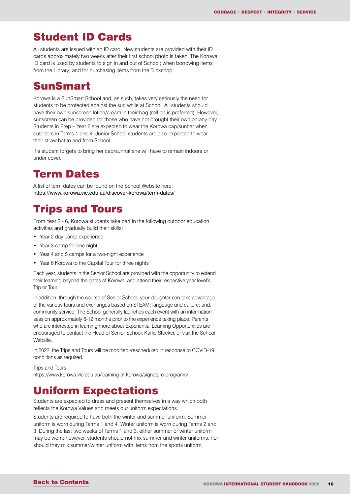### <span id="page-15-0"></span>Student ID Cards

All students are issued with an ID card. New students are provided with their ID cards approximately two weeks after their first school photo is taken. The Korowa ID card is used by students to sign in and out of School; when borrowing items from the Library; and for purchasing items from the Tuckshop.

### SunSmart

Korowa is a SunSmart School and, as such, takes very seriously the need for students to be protected against the sun while at School. All students should have their own sunscreen lotion/cream in their bag (roll-on is preferred). However, sunscreen can be provided for those who have not brought their own on any day. Students in Prep – Year 6 are expected to wear the Korowa cap/sunhat when outdoors in Terms 1 and 4. Junior School students are also expected to wear their straw hat to and from School.

If a student forgets to bring her cap/sunhat she will have to remain indoors or under cover.

### Term Dates

A list of term dates can be found on the School Website here: https://www.korowa.vic.edu.au/discover-korowa/term-dates/

## Trips and Tours

From Year 2 - 6, Korowa students take part in the following outdoor education activities and gradually build their skills:

- Year 2 day camp experience
- Year 3 camp for one night
- Year 4 and 5 camps for a two-night experience
- Year 6 Korowa to the Capital Tour for three nights

Each year, students in the Senior School are provided with the opportunity to extend their learning beyond the gates of Korowa, and attend their respective year level's Trip or Tour.

In addition, through the course of Senior School, your daughter can take advantage of the various tours and exchanges based on STEAM; language and culture; and, community service. The School generally launches each event with an information session approximately 6-12 months prior to the experience taking place. Parents who are interested in learning more about Experiential Learning Opportunities are encouraged to contact the Head of Senior School, Karlie Stocker, or visit the School Website.

In 2022, the Trips and Tours will be modified /rescheduled in response to COVID-19 conditions as required.

Trips and Tours:

https://www.korowa.vic.edu.au/learning-at-korowa/signature-programs/

### Uniform Expectations

Students are expected to dress and present themselves in a way which both reflects the Korowa Values and meets our uniform expectations.

Students are required to have both the winter and summer uniform. Summer uniform is worn during Terms 1 and 4. Winter uniform is worn during Terms 2 and 3. During the last two weeks of Terms 1 and 3, either summer or winter uniform may be worn; however, students should not mix summer and winter uniforms, nor should they mix summer/winter uniform with items from the sports uniform.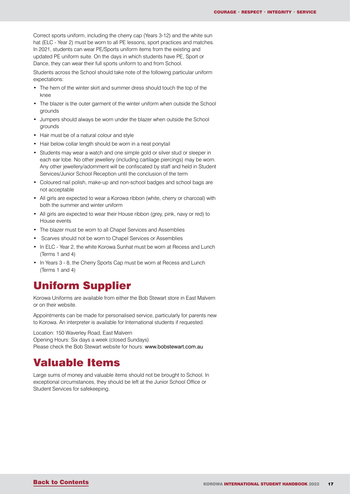<span id="page-16-0"></span>Correct sports uniform, including the cherry cap (Years 3-12) and the white sun hat (ELC - Year 2) must be worn to all PE lessons, sport practices and matches. In 2021, students can wear PE/Sports uniform items from the existing and updated PE uniform suite. On the days in which students have PE, Sport or Dance, they can wear their full sports uniform to and from School.

Students across the School should take note of the following particular uniform expectations:

- The hem of the winter skirt and summer dress should touch the top of the knee
- The blazer is the outer garment of the winter uniform when outside the School grounds
- Jumpers should always be worn under the blazer when outside the School grounds
- Hair must be of a natural colour and style
- Hair below collar length should be worn in a neat ponytail
- Students may wear a watch and one simple gold or silver stud or sleeper in each ear lobe. No other jewellery (including cartilage piercings) may be worn. Any other jewellery/adornment will be confiscated by staff and held in Student Services/Junior School Reception until the conclusion of the term
- Coloured nail polish, make-up and non-school badges and school bags are not acceptable
- All girls are expected to wear a Korowa ribbon (white, cherry or charcoal) with both the summer and winter uniform
- All girls are expected to wear their House ribbon (grey, pink, navy or red) to House events
- The blazer must be worn to all Chapel Services and Assemblies
- Scarves should not be worn to Chapel Services or Assemblies
- In ELC Year 2, the white Korowa Sunhat must be worn at Recess and Lunch (Terms 1 and 4)
- In Years 3 8, the Cherry Sports Cap must be worn at Recess and Lunch (Terms 1 and 4)

### Uniform Supplier

Korowa Uniforms are available from either the Bob Stewart store in East Malvern or on their website.

Appointments can be made for personalised service, particularly for parents new to Korowa. An interpreter is available for International students if requested.

Location: 150 Waverley Road, East Malvern Opening Hours: Six days a week (closed Sundays). Please check the Bob Stewart website for hours: www.bobstewart.com.au

## Valuable Items

Large sums of money and valuable items should not be brought to School. In exceptional circumstances, they should be left at the Junior School Office or Student Services for safekeeping.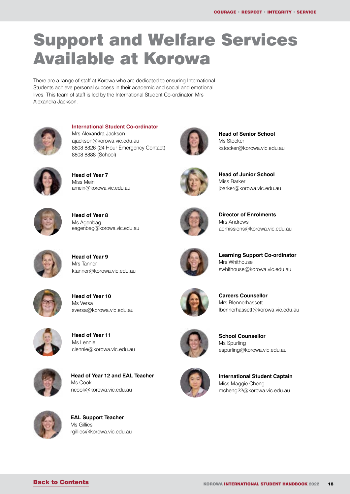# <span id="page-17-0"></span>Support and Welfare Services Available at Korowa

There are a range of staff at Korowa who are dedicated to ensuring International Students achieve personal success in their academic and social and emotional lives. This team of staff is led by the International Student Co-ordinator, Mrs Alexandra Jackson.



**International Student Co-ordinator**  Mrs Alexandra Jackson ajackson@korowa.vic.edu.au 8808 8826 (24 Hour Emergency Contact) 8808 8888 (School)



**Head of Year 7**  Miss Mein amein@korowa.vic.edu.au



**Head of Year 8**  Ms Agenbag eagenbag@korowa.vic.edu.au



**Head of Senior School**  Ms Stocker kstocker@korowa.vic.edu.au



**Head of Junior School**  Miss Barker jbarker@korowa.vic.edu.au



**Director of Enrolments**  Mrs Andrews admissions@korowa.vic.edu.au

**Learning Support Co-ordinator**

swhithouse@korowa.vic.edu.au



**Head of Year 9**  Mrs Tanner ktanner@korowa.vic.edu.au



**Head of Year 10**  Ms Versa sversa@korowa.vic.edu.au



**Head of Year 11**  Ms Lennie clennie@korowa.vic.edu.au



**Head of Year 12 and EAL Teacher** Ms Cook ncook@korowa.vic.edu.au



**School Counsellor**  Ms Spurling espurling@korowa.vic.edu.au

lbennerhassett@korowa.vic.edu.au

**Careers Counsellor** Mrs Blennerhassett

Mrs Whithouse



**International Student Captain** Miss Maggie Cheng mcheng22@korowa.vic.edu.au



**EAL Support Teacher** Ms Gillies rgillies@korowa.vic.edu.au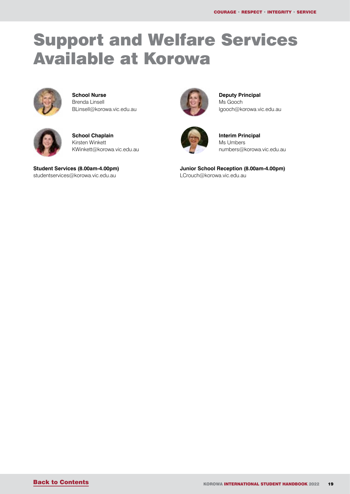# Support and Welfare Services Available at Korowa



**School Nurse** Brenda Linsell BLinsell@korowa.vic.edu.au



**School Chaplain** Kirsten Winkett KWinkett@korowa.vic.edu.au

**Student Services (8.00am-4.00pm)** studentservices@korowa.vic.edu.au



**Deputy Principal**  Ms Gooch lgooch@korowa.vic.edu.au



**Interim Principal** Ms Umbers numbers@korowa.vic.edu.au

**Junior School Reception (8.00am-4.00pm)**  LCrouch@korowa.vic.edu.au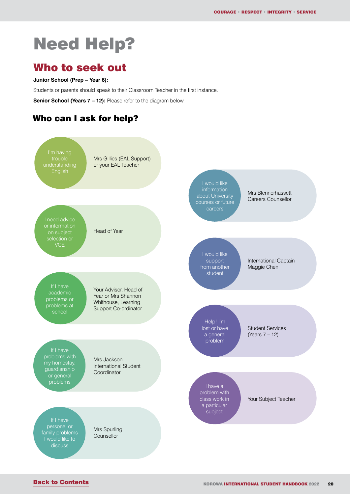# <span id="page-19-0"></span>Need Help?

### Who to seek out

#### **Junior School (Prep – Year 6):**

Students or parents should speak to their Classroom Teacher in the first instance.

**Senior School (Years 7 – 12):** Please refer to the diagram below.

### Who can I ask for help?

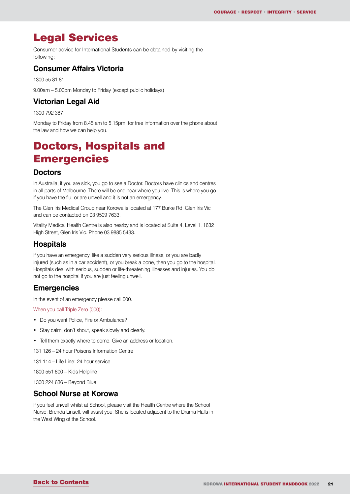## <span id="page-20-0"></span>Legal Services

Consumer advice for International Students can be obtained by visiting the following:

#### **Consumer Affairs Victoria**

1300 55 81 81

9.00am – 5.00pm Monday to Friday (except public holidays)

#### **Victorian Legal Aid**

1300 792 387

Monday to Friday from 8.45 am to 5.15pm, for free information over the phone about the law and how we can help you.

## Doctors, Hospitals and **Emergencies**

#### **Doctors**

In Australia, if you are sick, you go to see a Doctor. Doctors have clinics and centres in all parts of Melbourne. There will be one near where you live. This is where you go if you have the flu, or are unwell and it is not an emergency.

The Glen Iris Medical Group near Korowa is located at 177 Burke Rd, Glen Iris Vic and can be contacted on 03 9509 7633.

Vitality Medical Health Centre is also nearby and is located at Suite 4, Level 1, 1632 High Street, Glen Iris Vic. Phone 03 9885 5433.

#### **Hospitals**

If you have an emergency, like a sudden very serious illness, or you are badly injured (such as in a car accident), or you break a bone, then you go to the hospital. Hospitals deal with serious, sudden or life-threatening illnesses and injuries. You do not go to the hospital if you are just feeling unwell.

#### **Emergencies**

In the event of an emergency please call 000.

When you call Triple Zero (000):

- Do you want Police, Fire or Ambulance?
- Stay calm, don't shout, speak slowly and clearly.
- Tell them exactly where to come. Give an address or location.
- 131 126 24 hour Poisons Information Centre

131 114 – Life Line: 24 hour service

1800 551 800 – Kids Helpline

1300 224 636 – Beyond Blue

#### **School Nurse at Korowa**

If you feel unwell whilst at School, please visit the Health Centre where the School Nurse, Brenda Linsell, will assist you. She is located adjacent to the Drama Halls in the West Wing of the School.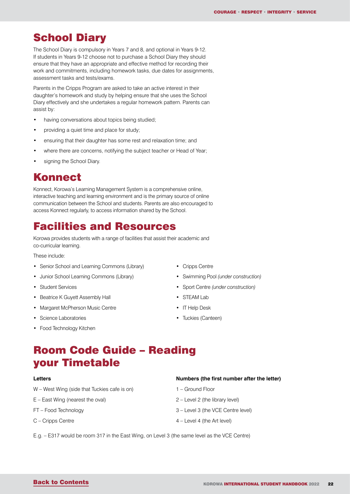### <span id="page-21-0"></span>**School Diary**

The School Diary is compulsory in Years 7 and 8, and optional in Years 9-12. If students in Years 9-12 choose not to purchase a School Diary they should ensure that they have an appropriate and effective method for recording their work and commitments, including homework tasks, due dates for assignments, assessment tasks and tests/exams.

Parents in the Cripps Program are asked to take an active interest in their daughter's homework and study by helping ensure that she uses the School Diary effectively and she undertakes a regular homework pattern. Parents can assist by:

- having conversations about topics being studied;
- providing a quiet time and place for study;
- ensuring that their daughter has some rest and relaxation time; and
- where there are concerns, notifying the subject teacher or Head of Year;
- signing the School Diary.

### Konnect

Konnect, Korowa's Learning Management System is a comprehensive online, interactive teaching and learning environment and is the primary source of online communication between the School and students. Parents are also encouraged to access Konnect regularly, to access information shared by the School.

### Facilities and Resources

Korowa provides students with a range of facilities that assist their academic and co-curricular learning.

These include:

- Senior School and Learning Commons (Library)
- Junior School Learning Commons (Library)
- Student Services
- Beatrice K Guyett Assembly Hall
- Margaret McPherson Music Centre
- Science Laboratories
- Food Technology Kitchen
- Cripps Centre
- Swimming Pool *(under construction)*
- Sport Centre *(under construction)*
- STEAM Lab
- IT Help Desk
- Tuckies (Canteen)

## Room Code Guide – Reading your Timetable

#### **Letters**

- W West Wing (side that Tuckies cafe is on)
- E East Wing (nearest the oval)
- FT Food Technology
- C Cripps Centre

#### **Numbers (the first number after the letter)**

- 1 Ground Floor
- 2 Level 2 (the library level)
- 3 Level 3 (the VCE Centre level)
- 4 Level 4 (the Art level)
- E.g. E317 would be room 317 in the East Wing, on Level 3 (the same level as the VCE Centre)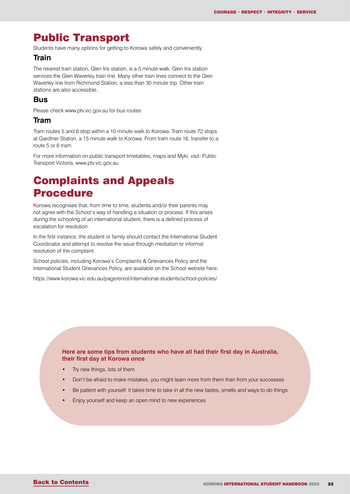## <span id="page-22-0"></span>Public Transport

Students have many options for getting to Korowa safely and conveniently.

#### **Train**

The nearest train station, Glen Iris station, is a 5 minute walk. Glen Iris station services the Glen Waverley train line. Many other train lines connect to the Glen Waverley line from Richmond Station, a less than 30 minute trip. Other train stations are also accessible.

#### **Bus**

Please check www.ptv.vic.gov.au for bus routes.

#### **Tram**

Tram routes 5 and 6 stop within a 10 minute walk to Korowa. Tram route 72 stops at Gardiner Station, a 15 minute walk to Korowa. From tram route 16, transfer to a route 5 or 6 tram.

For more information on public transport timetables, maps and Myki, visit: Public Transport Victoria, www.ptv.vic.gov.au

## Complaints and Appeals Procedure

Korowa recognises that, from time to time, students and/or their parents may not agree with the School's way of handling a situation or process. If this arises during the schooling of an international student, there is a defined process of escalation for resolution.

In the first instance, the student or family should contact the International Student Coordinator and attempt to resolve the issue through mediation or informal resolution of the complaint.

School policies, including Korowa's Complaints & Grievances Policy and the International Student Grievances Policy, are available on the School website here:

https://www.korowa.vic.edu.au/page/enrol/international-students/school-policies/

#### **Here are some tips from students who have all had their first day in Australia, their first day at Korowa once**

- Try new things, lots of them
- Don't be afraid to make mistakes, you might learn more from them than from your successes
- Be patient with yourself: it takes time to take in all the new tastes, smells and ways to do things
- Enjoy yourself and keep an open mind to new experiences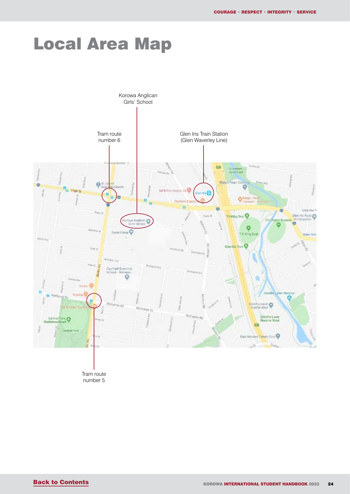# <span id="page-23-0"></span>Local Area Map